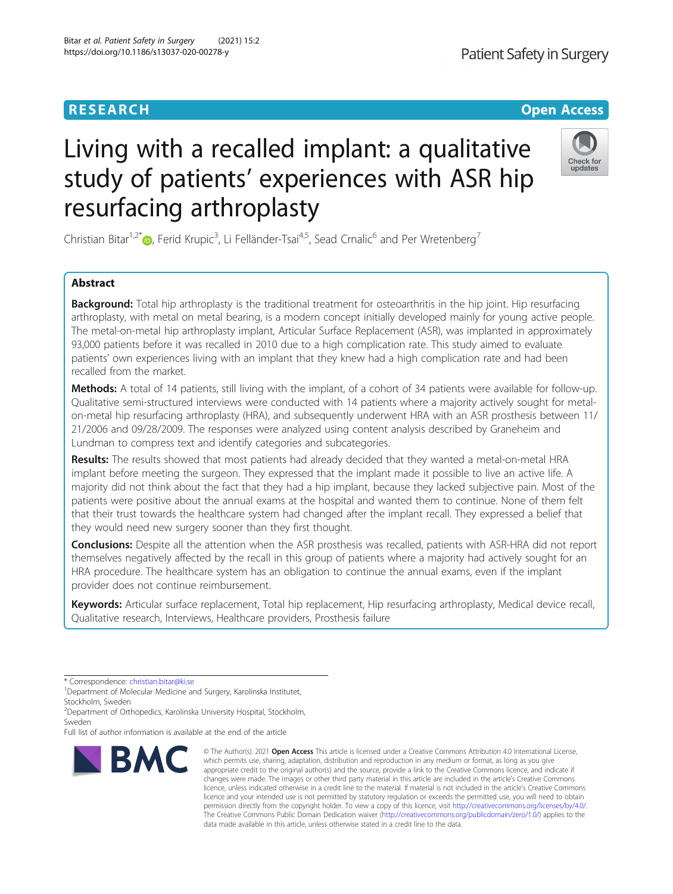# Living with a recalled implant: a qualitative study of patients' experiences with ASR hip resurfacing arthroplasty

Christian Bitar<sup>1[,](http://orcid.org/0000-0003-4253-2024)2\*</sup> $\bullet$ , Ferid Krupic<sup>3</sup>, Li Felländer-Tsai<sup>4,5</sup>, Sead Crnalic<sup>6</sup> and Per Wretenberg<sup>7</sup>

# Abstract

Background: Total hip arthroplasty is the traditional treatment for osteoarthritis in the hip joint. Hip resurfacing arthroplasty, with metal on metal bearing, is a modern concept initially developed mainly for young active people. The metal-on-metal hip arthroplasty implant, Articular Surface Replacement (ASR), was implanted in approximately 93,000 patients before it was recalled in 2010 due to a high complication rate. This study aimed to evaluate patients' own experiences living with an implant that they knew had a high complication rate and had been recalled from the market.

Methods: A total of 14 patients, still living with the implant, of a cohort of 34 patients were available for follow-up. Qualitative semi-structured interviews were conducted with 14 patients where a majority actively sought for metalon-metal hip resurfacing arthroplasty (HRA), and subsequently underwent HRA with an ASR prosthesis between 11/ 21/2006 and 09/28/2009. The responses were analyzed using content analysis described by Graneheim and Lundman to compress text and identify categories and subcategories.

Results: The results showed that most patients had already decided that they wanted a metal-on-metal HRA implant before meeting the surgeon. They expressed that the implant made it possible to live an active life. A majority did not think about the fact that they had a hip implant, because they lacked subjective pain. Most of the patients were positive about the annual exams at the hospital and wanted them to continue. None of them felt that their trust towards the healthcare system had changed after the implant recall. They expressed a belief that they would need new surgery sooner than they first thought.

Conclusions: Despite all the attention when the ASR prosthesis was recalled, patients with ASR-HRA did not report themselves negatively affected by the recall in this group of patients where a majority had actively sought for an HRA procedure. The healthcare system has an obligation to continue the annual exams, even if the implant provider does not continue reimbursement.

Keywords: Articular surface replacement, Total hip replacement, Hip resurfacing arthroplasty, Medical device recall, Qualitative research, Interviews, Healthcare providers, Prosthesis failure

\* Correspondence: [christian.bitar@ki.se](mailto:christian.bitar@ki.se) <sup>1</sup>

BMC

<sup>1</sup>Department of Molecular Medicine and Surgery, Karolinska Institutet, Stockholm, Sweden

<sup>2</sup> Department of Orthopedics, Karolinska University Hospital, Stockholm, Sweden

Full list of author information is available at the end of the article

which permits use, sharing, adaptation, distribution and reproduction in any medium or format, as long as you give appropriate credit to the original author(s) and the source, provide a link to the Creative Commons licence, and indicate if changes were made. The images or other third party material in this article are included in the article's Creative Commons licence, unless indicated otherwise in a credit line to the material. If material is not included in the article's Creative Commons licence and your intended use is not permitted by statutory regulation or exceeds the permitted use, you will need to obtain permission directly from the copyright holder. To view a copy of this licence, visit [http://creativecommons.org/licenses/by/4.0/.](http://creativecommons.org/licenses/by/4.0/) The Creative Commons Public Domain Dedication waiver [\(http://creativecommons.org/publicdomain/zero/1.0/](http://creativecommons.org/publicdomain/zero/1.0/)) applies to the data made available in this article, unless otherwise stated in a credit line to the data.

© The Author(s), 2021 **Open Access** This article is licensed under a Creative Commons Attribution 4.0 International License,





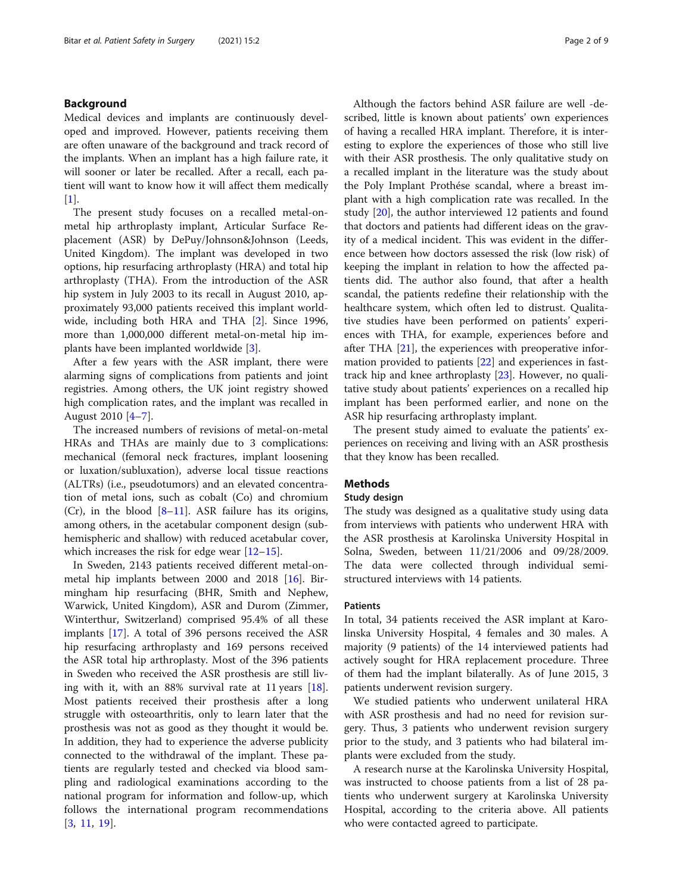# Background

Medical devices and implants are continuously developed and improved. However, patients receiving them are often unaware of the background and track record of the implants. When an implant has a high failure rate, it will sooner or later be recalled. After a recall, each patient will want to know how it will affect them medically  $[1]$  $[1]$ .

The present study focuses on a recalled metal-onmetal hip arthroplasty implant, Articular Surface Replacement (ASR) by DePuy/Johnson&Johnson (Leeds, United Kingdom). The implant was developed in two options, hip resurfacing arthroplasty (HRA) and total hip arthroplasty (THA). From the introduction of the ASR hip system in July 2003 to its recall in August 2010, approximately 93,000 patients received this implant worldwide, including both HRA and THA [\[2](#page-8-0)]. Since 1996, more than 1,000,000 different metal-on-metal hip implants have been implanted worldwide [[3\]](#page-8-0).

After a few years with the ASR implant, there were alarming signs of complications from patients and joint registries. Among others, the UK joint registry showed high complication rates, and the implant was recalled in August 2010 [[4](#page-8-0)–[7](#page-8-0)].

The increased numbers of revisions of metal-on-metal HRAs and THAs are mainly due to 3 complications: mechanical (femoral neck fractures, implant loosening or luxation/subluxation), adverse local tissue reactions (ALTRs) (i.e., pseudotumors) and an elevated concentration of metal ions, such as cobalt (Co) and chromium (Cr), in the blood  $[8-11]$  $[8-11]$  $[8-11]$  $[8-11]$  $[8-11]$ . ASR failure has its origins, among others, in the acetabular component design (subhemispheric and shallow) with reduced acetabular cover, which increases the risk for edge wear [\[12](#page-8-0)–[15\]](#page-8-0).

In Sweden, 2143 patients received different metal-onmetal hip implants between 2000 and 2018 [[16](#page-8-0)]. Birmingham hip resurfacing (BHR, Smith and Nephew, Warwick, United Kingdom), ASR and Durom (Zimmer, Winterthur, Switzerland) comprised 95.4% of all these implants [\[17](#page-8-0)]. A total of 396 persons received the ASR hip resurfacing arthroplasty and 169 persons received the ASR total hip arthroplasty. Most of the 396 patients in Sweden who received the ASR prosthesis are still living with it, with an 88% survival rate at 11 years  $[18]$  $[18]$ . Most patients received their prosthesis after a long struggle with osteoarthritis, only to learn later that the prosthesis was not as good as they thought it would be. In addition, they had to experience the adverse publicity connected to the withdrawal of the implant. These patients are regularly tested and checked via blood sampling and radiological examinations according to the national program for information and follow-up, which follows the international program recommendations [[3,](#page-8-0) [11](#page-8-0), [19](#page-8-0)].

Although the factors behind ASR failure are well -described, little is known about patients' own experiences of having a recalled HRA implant. Therefore, it is interesting to explore the experiences of those who still live with their ASR prosthesis. The only qualitative study on a recalled implant in the literature was the study about the Poly Implant Prothése scandal, where a breast implant with a high complication rate was recalled. In the study [[20\]](#page-8-0), the author interviewed 12 patients and found that doctors and patients had different ideas on the gravity of a medical incident. This was evident in the difference between how doctors assessed the risk (low risk) of keeping the implant in relation to how the affected patients did. The author also found, that after a health scandal, the patients redefine their relationship with the healthcare system, which often led to distrust. Qualitative studies have been performed on patients' experiences with THA, for example, experiences before and after THA [\[21](#page-8-0)], the experiences with preoperative information provided to patients [\[22](#page-8-0)] and experiences in fasttrack hip and knee arthroplasty [[23\]](#page-8-0). However, no qualitative study about patients' experiences on a recalled hip implant has been performed earlier, and none on the ASR hip resurfacing arthroplasty implant.

The present study aimed to evaluate the patients' experiences on receiving and living with an ASR prosthesis that they know has been recalled.

# **Methods**

#### Study design

The study was designed as a qualitative study using data from interviews with patients who underwent HRA with the ASR prosthesis at Karolinska University Hospital in Solna, Sweden, between 11/21/2006 and 09/28/2009. The data were collected through individual semistructured interviews with 14 patients.

# Patients

In total, 34 patients received the ASR implant at Karolinska University Hospital, 4 females and 30 males. A majority (9 patients) of the 14 interviewed patients had actively sought for HRA replacement procedure. Three of them had the implant bilaterally. As of June 2015, 3 patients underwent revision surgery.

We studied patients who underwent unilateral HRA with ASR prosthesis and had no need for revision surgery. Thus, 3 patients who underwent revision surgery prior to the study, and 3 patients who had bilateral implants were excluded from the study.

A research nurse at the Karolinska University Hospital, was instructed to choose patients from a list of 28 patients who underwent surgery at Karolinska University Hospital, according to the criteria above. All patients who were contacted agreed to participate.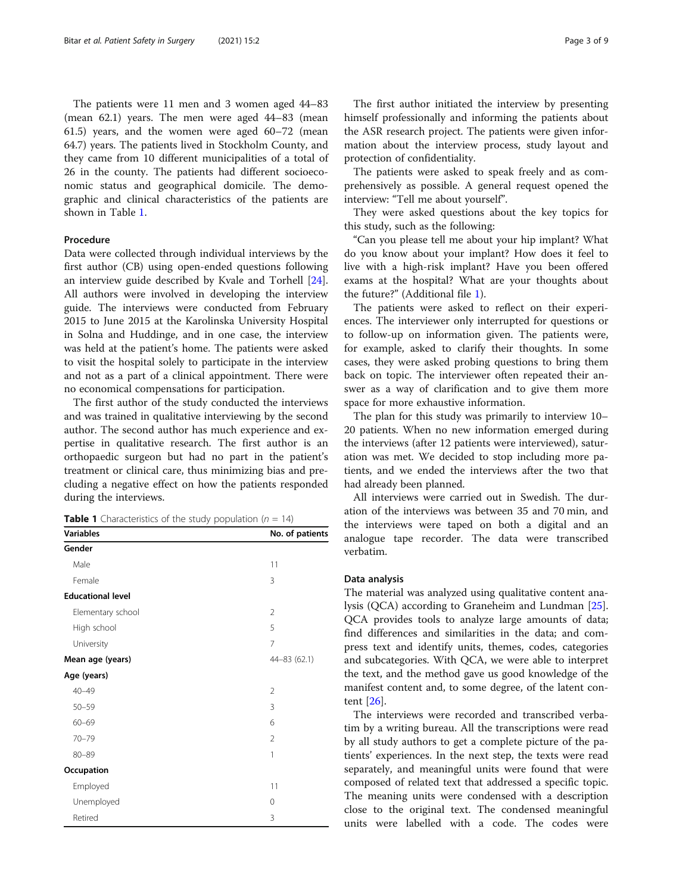The patients were 11 men and 3 women aged 44–83 (mean 62.1) years. The men were aged 44–83 (mean 61.5) years, and the women were aged 60–72 (mean 64.7) years. The patients lived in Stockholm County, and they came from 10 different municipalities of a total of 26 in the county. The patients had different socioeconomic status and geographical domicile. The demographic and clinical characteristics of the patients are shown in Table 1.

# Procedure

Data were collected through individual interviews by the first author (CB) using open-ended questions following an interview guide described by Kvale and Torhell [\[24](#page-8-0)]. All authors were involved in developing the interview guide. The interviews were conducted from February 2015 to June 2015 at the Karolinska University Hospital in Solna and Huddinge, and in one case, the interview was held at the patient's home. The patients were asked to visit the hospital solely to participate in the interview and not as a part of a clinical appointment. There were no economical compensations for participation.

The first author of the study conducted the interviews and was trained in qualitative interviewing by the second author. The second author has much experience and expertise in qualitative research. The first author is an orthopaedic surgeon but had no part in the patient's treatment or clinical care, thus minimizing bias and precluding a negative effect on how the patients responded during the interviews.

| <b>Table 1</b> Characteristics of the study population ( $n = 14$ ) |  |
|---------------------------------------------------------------------|--|
|---------------------------------------------------------------------|--|

| <b>Variables</b>         | No. of patients |
|--------------------------|-----------------|
| Gender                   |                 |
| Male                     | 11              |
| Female                   | 3               |
| <b>Educational level</b> |                 |
| Elementary school        | $\overline{2}$  |
| High school              | 5               |
| University               | 7               |
| Mean age (years)         | 44-83 (62.1)    |
| Age (years)              |                 |
| $40 - 49$                | 2               |
| $50 - 59$                | 3               |
| $60 - 69$                | 6               |
| $70 - 79$                | $\mathfrak{D}$  |
| $80 - 89$                | $\mathbf{1}$    |
| Occupation               |                 |
| Employed                 | 11              |
| Unemployed               | 0               |
| Retired                  | 3               |

The first author initiated the interview by presenting himself professionally and informing the patients about the ASR research project. The patients were given information about the interview process, study layout and protection of confidentiality.

The patients were asked to speak freely and as comprehensively as possible. A general request opened the interview: "Tell me about yourself".

They were asked questions about the key topics for this study, such as the following:

"Can you please tell me about your hip implant? What do you know about your implant? How does it feel to live with a high-risk implant? Have you been offered exams at the hospital? What are your thoughts about the future?" (Additional file [1](#page-7-0)).

The patients were asked to reflect on their experiences. The interviewer only interrupted for questions or to follow-up on information given. The patients were, for example, asked to clarify their thoughts. In some cases, they were asked probing questions to bring them back on topic. The interviewer often repeated their answer as a way of clarification and to give them more space for more exhaustive information.

The plan for this study was primarily to interview 10– 20 patients. When no new information emerged during the interviews (after 12 patients were interviewed), saturation was met. We decided to stop including more patients, and we ended the interviews after the two that had already been planned.

All interviews were carried out in Swedish. The duration of the interviews was between 35 and 70 min, and the interviews were taped on both a digital and an analogue tape recorder. The data were transcribed verbatim.

# Data analysis

The material was analyzed using qualitative content analysis (QCA) according to Graneheim and Lundman [\[25](#page-8-0)]. QCA provides tools to analyze large amounts of data; find differences and similarities in the data; and compress text and identify units, themes, codes, categories and subcategories. With QCA, we were able to interpret the text, and the method gave us good knowledge of the manifest content and, to some degree, of the latent content [[26\]](#page-8-0).

The interviews were recorded and transcribed verbatim by a writing bureau. All the transcriptions were read by all study authors to get a complete picture of the patients' experiences. In the next step, the texts were read separately, and meaningful units were found that were composed of related text that addressed a specific topic. The meaning units were condensed with a description close to the original text. The condensed meaningful units were labelled with a code. The codes were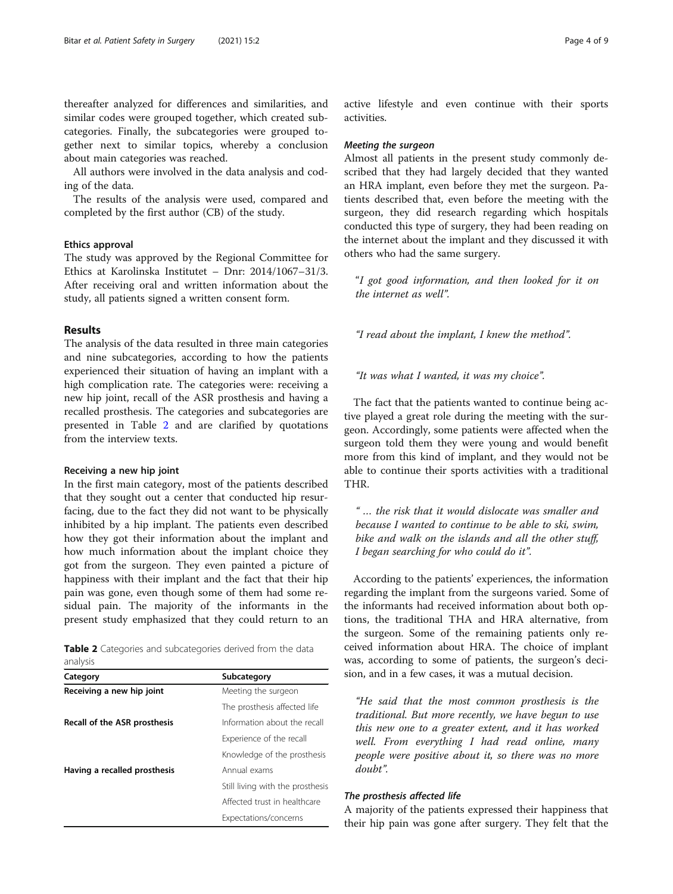thereafter analyzed for differences and similarities, and similar codes were grouped together, which created subcategories. Finally, the subcategories were grouped together next to similar topics, whereby a conclusion about main categories was reached.

All authors were involved in the data analysis and coding of the data.

The results of the analysis were used, compared and completed by the first author (CB) of the study.

# Ethics approval

The study was approved by the Regional Committee for Ethics at Karolinska Institutet – Dnr: 2014/1067–31/3. After receiving oral and written information about the study, all patients signed a written consent form.

#### Results

The analysis of the data resulted in three main categories and nine subcategories, according to how the patients experienced their situation of having an implant with a high complication rate. The categories were: receiving a new hip joint, recall of the ASR prosthesis and having a recalled prosthesis. The categories and subcategories are presented in Table 2 and are clarified by quotations from the interview texts.

#### Receiving a new hip joint

In the first main category, most of the patients described that they sought out a center that conducted hip resurfacing, due to the fact they did not want to be physically inhibited by a hip implant. The patients even described how they got their information about the implant and how much information about the implant choice they got from the surgeon. They even painted a picture of happiness with their implant and the fact that their hip pain was gone, even though some of them had some residual pain. The majority of the informants in the present study emphasized that they could return to an

|          |  | <b>Table 2</b> Categories and subcategories derived from the data |  |  |
|----------|--|-------------------------------------------------------------------|--|--|
| analysis |  |                                                                   |  |  |

| Subcategory                      |  |  |  |
|----------------------------------|--|--|--|
| Meeting the surgeon              |  |  |  |
| The prosthesis affected life     |  |  |  |
| Information about the recall     |  |  |  |
| Experience of the recall         |  |  |  |
| Knowledge of the prosthesis      |  |  |  |
| Annual exams                     |  |  |  |
| Still living with the prosthesis |  |  |  |
| Affected trust in healthcare     |  |  |  |
| Expectations/concerns            |  |  |  |
|                                  |  |  |  |

#### Meeting the surgeon

Almost all patients in the present study commonly described that they had largely decided that they wanted an HRA implant, even before they met the surgeon. Patients described that, even before the meeting with the surgeon, they did research regarding which hospitals conducted this type of surgery, they had been reading on the internet about the implant and they discussed it with others who had the same surgery.

"I got good information, and then looked for it on the internet as well".

"I read about the implant, I knew the method".

"It was what I wanted, it was my choice".

The fact that the patients wanted to continue being active played a great role during the meeting with the surgeon. Accordingly, some patients were affected when the surgeon told them they were young and would benefit more from this kind of implant, and they would not be able to continue their sports activities with a traditional THR.

" … the risk that it would dislocate was smaller and because I wanted to continue to be able to ski, swim, bike and walk on the islands and all the other stuff, I began searching for who could do it".

According to the patients' experiences, the information regarding the implant from the surgeons varied. Some of the informants had received information about both options, the traditional THA and HRA alternative, from the surgeon. Some of the remaining patients only received information about HRA. The choice of implant was, according to some of patients, the surgeon's decision, and in a few cases, it was a mutual decision.

"He said that the most common prosthesis is the traditional. But more recently, we have begun to use this new one to a greater extent, and it has worked well. From everything I had read online, many people were positive about it, so there was no more doubt".

# The prosthesis affected life

A majority of the patients expressed their happiness that their hip pain was gone after surgery. They felt that the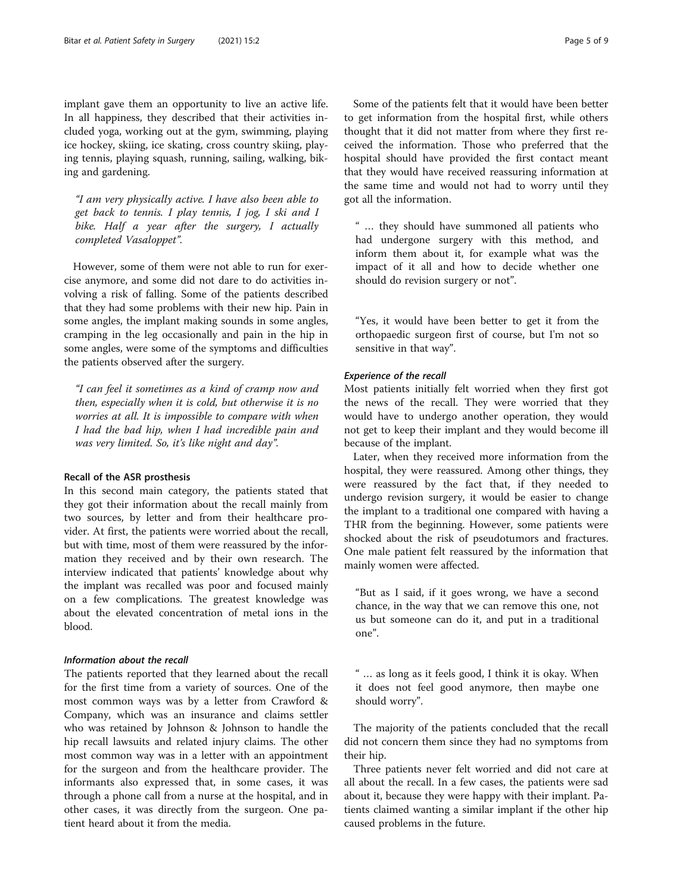implant gave them an opportunity to live an active life. In all happiness, they described that their activities included yoga, working out at the gym, swimming, playing ice hockey, skiing, ice skating, cross country skiing, playing tennis, playing squash, running, sailing, walking, biking and gardening.

"I am very physically active. I have also been able to get back to tennis. I play tennis, I jog, I ski and I bike. Half a year after the surgery, I actually completed Vasaloppet".

However, some of them were not able to run for exercise anymore, and some did not dare to do activities involving a risk of falling. Some of the patients described that they had some problems with their new hip. Pain in some angles, the implant making sounds in some angles, cramping in the leg occasionally and pain in the hip in some angles, were some of the symptoms and difficulties the patients observed after the surgery.

"I can feel it sometimes as a kind of cramp now and then, especially when it is cold, but otherwise it is no worries at all. It is impossible to compare with when I had the bad hip, when I had incredible pain and was very limited. So, it's like night and day".

# Recall of the ASR prosthesis

In this second main category, the patients stated that they got their information about the recall mainly from two sources, by letter and from their healthcare provider. At first, the patients were worried about the recall, but with time, most of them were reassured by the information they received and by their own research. The interview indicated that patients' knowledge about why the implant was recalled was poor and focused mainly on a few complications. The greatest knowledge was about the elevated concentration of metal ions in the blood.

# Information about the recall

The patients reported that they learned about the recall for the first time from a variety of sources. One of the most common ways was by a letter from Crawford & Company, which was an insurance and claims settler who was retained by Johnson & Johnson to handle the hip recall lawsuits and related injury claims. The other most common way was in a letter with an appointment for the surgeon and from the healthcare provider. The informants also expressed that, in some cases, it was through a phone call from a nurse at the hospital, and in other cases, it was directly from the surgeon. One patient heard about it from the media.

Some of the patients felt that it would have been better to get information from the hospital first, while others thought that it did not matter from where they first received the information. Those who preferred that the hospital should have provided the first contact meant that they would have received reassuring information at the same time and would not had to worry until they got all the information.

" … they should have summoned all patients who had undergone surgery with this method, and inform them about it, for example what was the impact of it all and how to decide whether one should do revision surgery or not".

"Yes, it would have been better to get it from the orthopaedic surgeon first of course, but I'm not so sensitive in that way".

# Experience of the recall

Most patients initially felt worried when they first got the news of the recall. They were worried that they would have to undergo another operation, they would not get to keep their implant and they would become ill because of the implant.

Later, when they received more information from the hospital, they were reassured. Among other things, they were reassured by the fact that, if they needed to undergo revision surgery, it would be easier to change the implant to a traditional one compared with having a THR from the beginning. However, some patients were shocked about the risk of pseudotumors and fractures. One male patient felt reassured by the information that mainly women were affected.

"But as I said, if it goes wrong, we have a second chance, in the way that we can remove this one, not us but someone can do it, and put in a traditional one".

" … as long as it feels good, I think it is okay. When it does not feel good anymore, then maybe one should worry".

The majority of the patients concluded that the recall did not concern them since they had no symptoms from their hip.

Three patients never felt worried and did not care at all about the recall. In a few cases, the patients were sad about it, because they were happy with their implant. Patients claimed wanting a similar implant if the other hip caused problems in the future.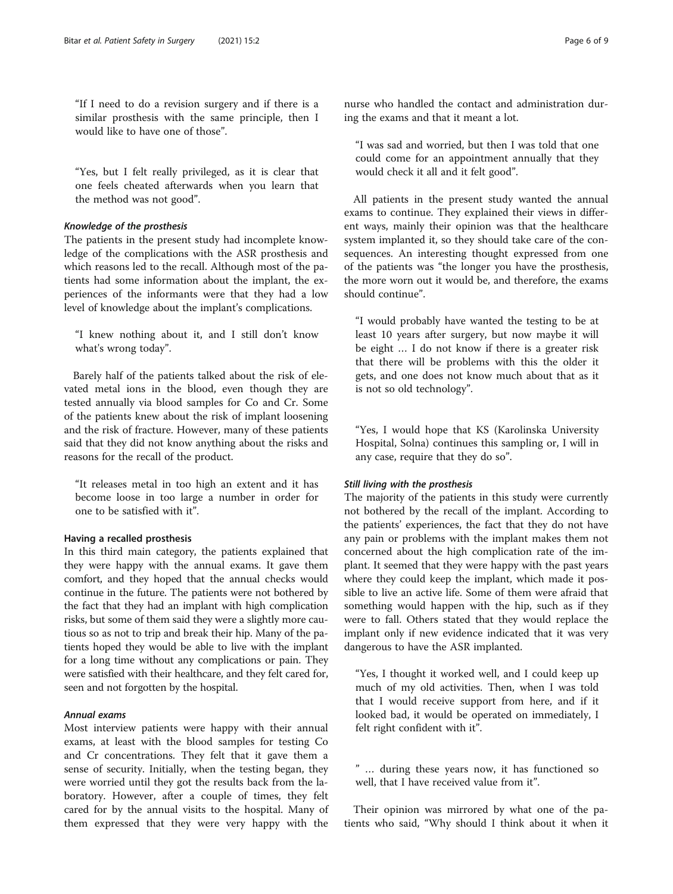"If I need to do a revision surgery and if there is a similar prosthesis with the same principle, then I would like to have one of those".

"Yes, but I felt really privileged, as it is clear that one feels cheated afterwards when you learn that the method was not good".

# Knowledge of the prosthesis

The patients in the present study had incomplete knowledge of the complications with the ASR prosthesis and which reasons led to the recall. Although most of the patients had some information about the implant, the experiences of the informants were that they had a low level of knowledge about the implant's complications.

"I knew nothing about it, and I still don't know what's wrong today".

Barely half of the patients talked about the risk of elevated metal ions in the blood, even though they are tested annually via blood samples for Co and Cr. Some of the patients knew about the risk of implant loosening and the risk of fracture. However, many of these patients said that they did not know anything about the risks and reasons for the recall of the product.

"It releases metal in too high an extent and it has become loose in too large a number in order for one to be satisfied with it".

### Having a recalled prosthesis

In this third main category, the patients explained that they were happy with the annual exams. It gave them comfort, and they hoped that the annual checks would continue in the future. The patients were not bothered by the fact that they had an implant with high complication risks, but some of them said they were a slightly more cautious so as not to trip and break their hip. Many of the patients hoped they would be able to live with the implant for a long time without any complications or pain. They were satisfied with their healthcare, and they felt cared for, seen and not forgotten by the hospital.

# Annual exams

Most interview patients were happy with their annual exams, at least with the blood samples for testing Co and Cr concentrations. They felt that it gave them a sense of security. Initially, when the testing began, they were worried until they got the results back from the laboratory. However, after a couple of times, they felt cared for by the annual visits to the hospital. Many of them expressed that they were very happy with the

nurse who handled the contact and administration during the exams and that it meant a lot.

"I was sad and worried, but then I was told that one could come for an appointment annually that they would check it all and it felt good".

All patients in the present study wanted the annual exams to continue. They explained their views in different ways, mainly their opinion was that the healthcare system implanted it, so they should take care of the consequences. An interesting thought expressed from one of the patients was "the longer you have the prosthesis, the more worn out it would be, and therefore, the exams should continue".

"I would probably have wanted the testing to be at least 10 years after surgery, but now maybe it will be eight … I do not know if there is a greater risk that there will be problems with this the older it gets, and one does not know much about that as it is not so old technology".

"Yes, I would hope that KS (Karolinska University Hospital, Solna) continues this sampling or, I will in any case, require that they do so".

#### Still living with the prosthesis

The majority of the patients in this study were currently not bothered by the recall of the implant. According to the patients' experiences, the fact that they do not have any pain or problems with the implant makes them not concerned about the high complication rate of the implant. It seemed that they were happy with the past years where they could keep the implant, which made it possible to live an active life. Some of them were afraid that something would happen with the hip, such as if they were to fall. Others stated that they would replace the implant only if new evidence indicated that it was very dangerous to have the ASR implanted.

"Yes, I thought it worked well, and I could keep up much of my old activities. Then, when I was told that I would receive support from here, and if it looked bad, it would be operated on immediately, I felt right confident with it".

" … during these years now, it has functioned so well, that I have received value from it".

Their opinion was mirrored by what one of the patients who said, "Why should I think about it when it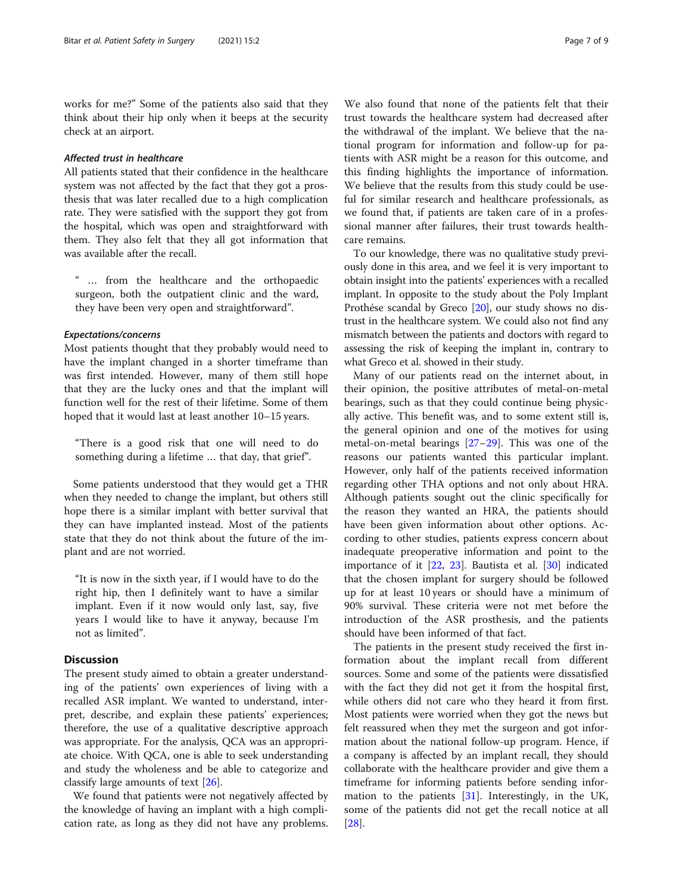works for me?" Some of the patients also said that they think about their hip only when it beeps at the security check at an airport.

# Affected trust in healthcare

All patients stated that their confidence in the healthcare system was not affected by the fact that they got a prosthesis that was later recalled due to a high complication rate. They were satisfied with the support they got from the hospital, which was open and straightforward with them. They also felt that they all got information that was available after the recall.

" … from the healthcare and the orthopaedic surgeon, both the outpatient clinic and the ward, they have been very open and straightforward".

#### Expectations/concerns

Most patients thought that they probably would need to have the implant changed in a shorter timeframe than was first intended. However, many of them still hope that they are the lucky ones and that the implant will function well for the rest of their lifetime. Some of them hoped that it would last at least another 10–15 years.

"There is a good risk that one will need to do something during a lifetime … that day, that grief".

Some patients understood that they would get a THR when they needed to change the implant, but others still hope there is a similar implant with better survival that they can have implanted instead. Most of the patients state that they do not think about the future of the implant and are not worried.

"It is now in the sixth year, if I would have to do the right hip, then I definitely want to have a similar implant. Even if it now would only last, say, five years I would like to have it anyway, because I'm not as limited".

# **Discussion**

The present study aimed to obtain a greater understanding of the patients' own experiences of living with a recalled ASR implant. We wanted to understand, interpret, describe, and explain these patients' experiences; therefore, the use of a qualitative descriptive approach was appropriate. For the analysis, QCA was an appropriate choice. With QCA, one is able to seek understanding and study the wholeness and be able to categorize and classify large amounts of text [[26\]](#page-8-0).

We found that patients were not negatively affected by the knowledge of having an implant with a high complication rate, as long as they did not have any problems.

We also found that none of the patients felt that their trust towards the healthcare system had decreased after the withdrawal of the implant. We believe that the national program for information and follow-up for patients with ASR might be a reason for this outcome, and this finding highlights the importance of information. We believe that the results from this study could be useful for similar research and healthcare professionals, as we found that, if patients are taken care of in a professional manner after failures, their trust towards healthcare remains.

To our knowledge, there was no qualitative study previously done in this area, and we feel it is very important to obtain insight into the patients' experiences with a recalled implant. In opposite to the study about the Poly Implant Prothése scandal by Greco [\[20](#page-8-0)], our study shows no distrust in the healthcare system. We could also not find any mismatch between the patients and doctors with regard to assessing the risk of keeping the implant in, contrary to what Greco et al. showed in their study.

Many of our patients read on the internet about, in their opinion, the positive attributes of metal-on-metal bearings, such as that they could continue being physically active. This benefit was, and to some extent still is, the general opinion and one of the motives for using metal-on-metal bearings [[27](#page-8-0)–[29](#page-8-0)]. This was one of the reasons our patients wanted this particular implant. However, only half of the patients received information regarding other THA options and not only about HRA. Although patients sought out the clinic specifically for the reason they wanted an HRA, the patients should have been given information about other options. According to other studies, patients express concern about inadequate preoperative information and point to the importance of it [[22](#page-8-0), [23\]](#page-8-0). Bautista et al. [[30\]](#page-8-0) indicated that the chosen implant for surgery should be followed up for at least 10 years or should have a minimum of 90% survival. These criteria were not met before the introduction of the ASR prosthesis, and the patients should have been informed of that fact.

The patients in the present study received the first information about the implant recall from different sources. Some and some of the patients were dissatisfied with the fact they did not get it from the hospital first, while others did not care who they heard it from first. Most patients were worried when they got the news but felt reassured when they met the surgeon and got information about the national follow-up program. Hence, if a company is affected by an implant recall, they should collaborate with the healthcare provider and give them a timeframe for informing patients before sending information to the patients  $[31]$  $[31]$ . Interestingly, in the UK, some of the patients did not get the recall notice at all [[28\]](#page-8-0).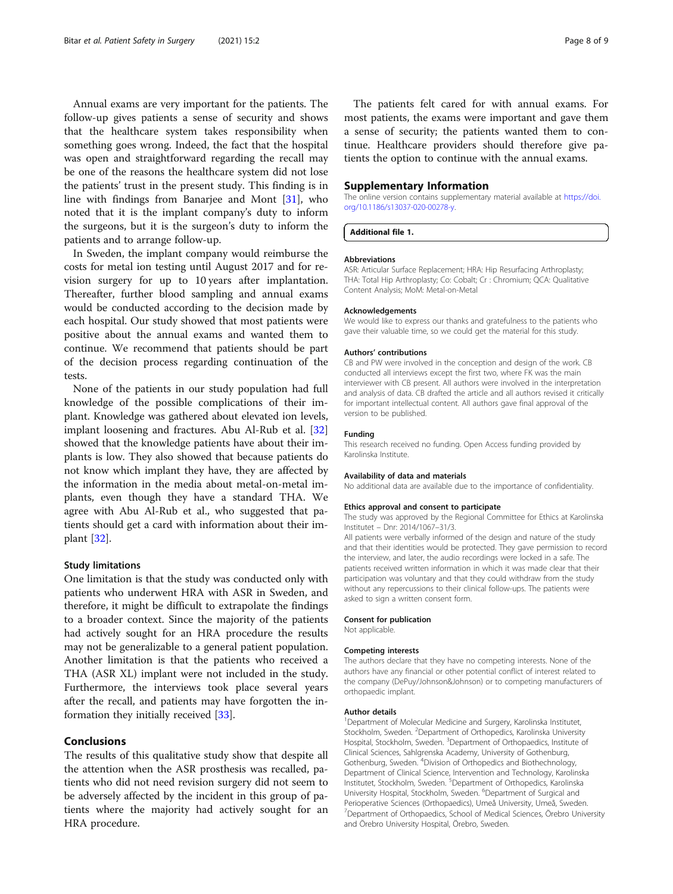<span id="page-7-0"></span>Annual exams are very important for the patients. The follow-up gives patients a sense of security and shows that the healthcare system takes responsibility when something goes wrong. Indeed, the fact that the hospital was open and straightforward regarding the recall may be one of the reasons the healthcare system did not lose the patients' trust in the present study. This finding is in line with findings from Banarjee and Mont [\[31\]](#page-8-0), who noted that it is the implant company's duty to inform the surgeons, but it is the surgeon's duty to inform the patients and to arrange follow-up.

In Sweden, the implant company would reimburse the costs for metal ion testing until August 2017 and for revision surgery for up to 10 years after implantation. Thereafter, further blood sampling and annual exams would be conducted according to the decision made by each hospital. Our study showed that most patients were positive about the annual exams and wanted them to continue. We recommend that patients should be part of the decision process regarding continuation of the tests.

None of the patients in our study population had full knowledge of the possible complications of their implant. Knowledge was gathered about elevated ion levels, implant loosening and fractures. Abu Al-Rub et al. [[32](#page-8-0)] showed that the knowledge patients have about their implants is low. They also showed that because patients do not know which implant they have, they are affected by the information in the media about metal-on-metal implants, even though they have a standard THA. We agree with Abu Al-Rub et al., who suggested that patients should get a card with information about their implant [[32](#page-8-0)].

#### Study limitations

One limitation is that the study was conducted only with patients who underwent HRA with ASR in Sweden, and therefore, it might be difficult to extrapolate the findings to a broader context. Since the majority of the patients had actively sought for an HRA procedure the results may not be generalizable to a general patient population. Another limitation is that the patients who received a THA (ASR XL) implant were not included in the study. Furthermore, the interviews took place several years after the recall, and patients may have forgotten the information they initially received [\[33\]](#page-8-0).

# Conclusions

The results of this qualitative study show that despite all the attention when the ASR prosthesis was recalled, patients who did not need revision surgery did not seem to be adversely affected by the incident in this group of patients where the majority had actively sought for an HRA procedure.

The patients felt cared for with annual exams. For most patients, the exams were important and gave them a sense of security; the patients wanted them to continue. Healthcare providers should therefore give patients the option to continue with the annual exams.

#### Supplementary Information

The online version contains supplementary material available at [https://doi.](https://doi.org/10.1186/s13037-020-00278-y) [org/10.1186/s13037-020-00278-y](https://doi.org/10.1186/s13037-020-00278-y).

Additional file 1.

#### Abbreviations

ASR: Articular Surface Replacement; HRA: Hip Resurfacing Arthroplasty; THA: Total Hip Arthroplasty; Co: Cobalt; Cr : Chromium; QCA: Qualitative Content Analysis; MoM: Metal-on-Metal

#### Acknowledgements

We would like to express our thanks and gratefulness to the patients who gave their valuable time, so we could get the material for this study.

#### Authors' contributions

CB and PW were involved in the conception and design of the work. CB conducted all interviews except the first two, where FK was the main interviewer with CB present. All authors were involved in the interpretation and analysis of data. CB drafted the article and all authors revised it critically for important intellectual content. All authors gave final approval of the version to be published.

#### Funding

This research received no funding. Open Access funding provided by Karolinska Institute.

#### Availability of data and materials

No additional data are available due to the importance of confidentiality.

#### Ethics approval and consent to participate

The study was approved by the Regional Committee for Ethics at Karolinska Institutet – Dnr: 2014/1067–31/3.

All patients were verbally informed of the design and nature of the study and that their identities would be protected. They gave permission to record the interview, and later, the audio recordings were locked in a safe. The patients received written information in which it was made clear that their participation was voluntary and that they could withdraw from the study without any repercussions to their clinical follow-ups. The patients were asked to sign a written consent form.

#### Consent for publication

Not applicable.

#### Competing interests

The authors declare that they have no competing interests. None of the authors have any financial or other potential conflict of interest related to the company (DePuy/Johnson&Johnson) or to competing manufacturers of orthopaedic implant.

#### Author details

<sup>1</sup>Department of Molecular Medicine and Surgery, Karolinska Institutet, Stockholm, Sweden. <sup>2</sup>Department of Orthopedics, Karolinska University Hospital, Stockholm, Sweden. <sup>3</sup>Department of Orthopaedics, Institute of Clinical Sciences, Sahlgrenska Academy, University of Gothenburg, Gothenburg, Sweden. <sup>4</sup> Division of Orthopedics and Biothechnology, Department of Clinical Science, Intervention and Technology, Karolinska Institutet, Stockholm, Sweden. <sup>5</sup>Department of Orthopedics, Karolinska University Hospital, Stockholm, Sweden. <sup>6</sup>Department of Surgical and Perioperative Sciences (Orthopaedics), Umeå University, Umeå, Sweden. <sup>7</sup> Department of Orthopaedics, School of Medical Sciences, Örebro University and Örebro University Hospital, Örebro, Sweden.